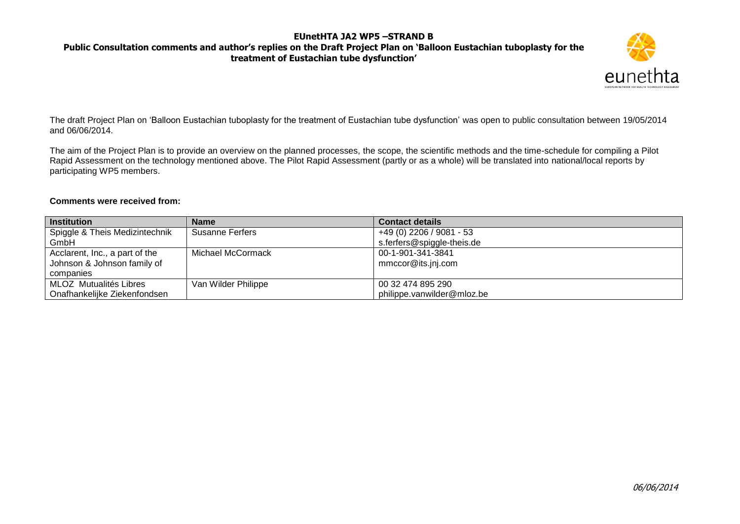### **Public Consultation comments and author's replies on the Draft Project Plan on 'Balloon Eustachian tuboplasty for the treatment of Eustachian tube dysfunction'**



The draft Project Plan on 'Balloon Eustachian tuboplasty for the treatment of Eustachian tube dysfunction' was open to public consultation between 19/05/2014 and 06/06/2014.

The aim of the Project Plan is to provide an overview on the planned processes, the scope, the scientific methods and the time-schedule for compiling a Pilot Rapid Assessment on the technology mentioned above. The Pilot Rapid Assessment (partly or as a whole) will be translated into national/local reports by participating WP5 members.

#### **Comments were received from:**

| <b>Institution</b>             | <b>Name</b>            | <b>Contact details</b>     |
|--------------------------------|------------------------|----------------------------|
| Spiggle & Theis Medizintechnik | <b>Susanne Ferfers</b> | +49 (0) 2206 / 9081 - 53   |
| GmbH                           |                        | s.ferfers@spiggle-theis.de |
| Acclarent, Inc., a part of the | Michael McCormack      | 00-1-901-341-3841          |
| Johnson & Johnson family of    |                        | mmccor@its.jnj.com         |
| companies                      |                        |                            |
| MLOZ Mutualités Libres         | Van Wilder Philippe    | 00 32 474 895 290          |
| Onafhankelijke Ziekenfondsen   |                        | philippe.vanwilder@mloz.be |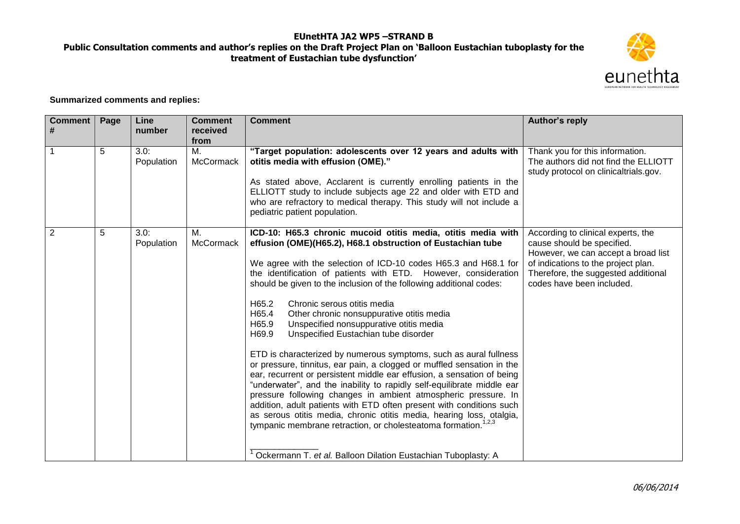# **Public Consultation comments and author's replies on the Draft Project Plan on 'Balloon Eustachian tuboplasty for the treatment of Eustachian tube dysfunction'**



**Summarized comments and replies:**

| <b>Comment</b><br># | Page | Line<br>number     | <b>Comment</b><br>received<br>from | <b>Comment</b>                                                                                                                                                                                                                                                                                                                                                                                                                                                                                                                                                                                                                                                                                                                                                                                                                                                                                                                                                                                                                                                                                                                                                                                                  | Author's reply                                                                                                                                                                                                     |
|---------------------|------|--------------------|------------------------------------|-----------------------------------------------------------------------------------------------------------------------------------------------------------------------------------------------------------------------------------------------------------------------------------------------------------------------------------------------------------------------------------------------------------------------------------------------------------------------------------------------------------------------------------------------------------------------------------------------------------------------------------------------------------------------------------------------------------------------------------------------------------------------------------------------------------------------------------------------------------------------------------------------------------------------------------------------------------------------------------------------------------------------------------------------------------------------------------------------------------------------------------------------------------------------------------------------------------------|--------------------------------------------------------------------------------------------------------------------------------------------------------------------------------------------------------------------|
|                     | 5    | 3.0:<br>Population | M.<br>McCormack                    | "Target population: adolescents over 12 years and adults with<br>otitis media with effusion (OME)."<br>As stated above, Acclarent is currently enrolling patients in the<br>ELLIOTT study to include subjects age 22 and older with ETD and<br>who are refractory to medical therapy. This study will not include a<br>pediatric patient population.                                                                                                                                                                                                                                                                                                                                                                                                                                                                                                                                                                                                                                                                                                                                                                                                                                                            | Thank you for this information.<br>The authors did not find the ELLIOTT<br>study protocol on clinicaltrials.gov.                                                                                                   |
| $\overline{2}$      | 5    | 3.0:<br>Population | М.<br>McCormack                    | ICD-10: H65.3 chronic mucoid otitis media, otitis media with<br>effusion (OME)(H65.2), H68.1 obstruction of Eustachian tube<br>We agree with the selection of ICD-10 codes H65.3 and H68.1 for<br>the identification of patients with ETD. However, consideration<br>should be given to the inclusion of the following additional codes:<br>H65.2<br>Chronic serous otitis media<br>H65.4<br>Other chronic nonsuppurative otitis media<br>H65.9<br>Unspecified nonsuppurative otitis media<br>Unspecified Eustachian tube disorder<br>H69.9<br>ETD is characterized by numerous symptoms, such as aural fullness<br>or pressure, tinnitus, ear pain, a clogged or muffled sensation in the<br>ear, recurrent or persistent middle ear effusion, a sensation of being<br>"underwater", and the inability to rapidly self-equilibrate middle ear<br>pressure following changes in ambient atmospheric pressure. In<br>addition, adult patients with ETD often present with conditions such<br>as serous otitis media, chronic otitis media, hearing loss, otalgia,<br>tympanic membrane retraction, or cholesteatoma formation. <sup>1,2,3</sup><br>Ockermann T. et al. Balloon Dilation Eustachian Tuboplasty: A | According to clinical experts, the<br>cause should be specified.<br>However, we can accept a broad list<br>of indications to the project plan.<br>Therefore, the suggested additional<br>codes have been included. |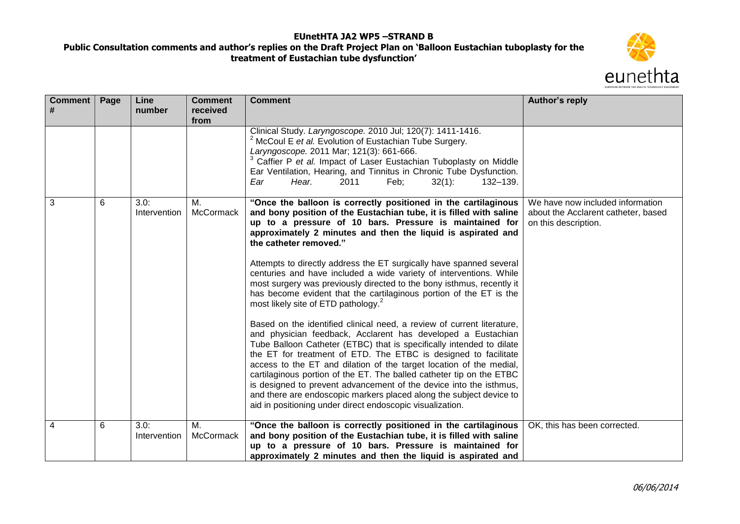

| <b>Comment</b><br># | Page | Line<br>number       | <b>Comment</b><br>received<br>from | <b>Comment</b>                                                                                                                                                                                                                                                                                                                                                                                                                                                                                                                                                                                                                                                                                                                                                                                                                                                                                                                                                                                                                                                                                                                                     | Author's reply                                                                                  |
|---------------------|------|----------------------|------------------------------------|----------------------------------------------------------------------------------------------------------------------------------------------------------------------------------------------------------------------------------------------------------------------------------------------------------------------------------------------------------------------------------------------------------------------------------------------------------------------------------------------------------------------------------------------------------------------------------------------------------------------------------------------------------------------------------------------------------------------------------------------------------------------------------------------------------------------------------------------------------------------------------------------------------------------------------------------------------------------------------------------------------------------------------------------------------------------------------------------------------------------------------------------------|-------------------------------------------------------------------------------------------------|
|                     |      |                      |                                    | Clinical Study. Laryngoscope. 2010 Jul; 120(7): 1411-1416.<br><sup>2</sup> McCoul E et al. Evolution of Eustachian Tube Surgery.<br>Laryngoscope. 2011 Mar; 121(3): 661-666.<br>Caffier P et al. Impact of Laser Eustachian Tuboplasty on Middle<br>Ear Ventilation, Hearing, and Tinnitus in Chronic Tube Dysfunction.<br>Hear.<br>2011<br>Feb;<br>$32(1)$ :<br>132-139.<br>Ear                                                                                                                                                                                                                                                                                                                                                                                                                                                                                                                                                                                                                                                                                                                                                                   |                                                                                                 |
| 3                   | 6    | 3.0:<br>Intervention | М.<br><b>McCormack</b>             | "Once the balloon is correctly positioned in the cartilaginous<br>and bony position of the Eustachian tube, it is filled with saline<br>up to a pressure of 10 bars. Pressure is maintained for<br>approximately 2 minutes and then the liquid is aspirated and<br>the catheter removed."<br>Attempts to directly address the ET surgically have spanned several<br>centuries and have included a wide variety of interventions. While<br>most surgery was previously directed to the bony isthmus, recently it<br>has become evident that the cartilaginous portion of the ET is the<br>most likely site of ETD pathology. <sup>2</sup><br>Based on the identified clinical need, a review of current literature,<br>and physician feedback, Acclarent has developed a Eustachian<br>Tube Balloon Catheter (ETBC) that is specifically intended to dilate<br>the ET for treatment of ETD. The ETBC is designed to facilitate<br>access to the ET and dilation of the target location of the medial,<br>cartilaginous portion of the ET. The balled catheter tip on the ETBC<br>is designed to prevent advancement of the device into the isthmus, | We have now included information<br>about the Acclarent catheter, based<br>on this description. |
|                     |      |                      |                                    | and there are endoscopic markers placed along the subject device to<br>aid in positioning under direct endoscopic visualization.                                                                                                                                                                                                                                                                                                                                                                                                                                                                                                                                                                                                                                                                                                                                                                                                                                                                                                                                                                                                                   |                                                                                                 |
| 4                   | 6    | 3.0:<br>Intervention | М.<br><b>McCormack</b>             | "Once the balloon is correctly positioned in the cartilaginous<br>and bony position of the Eustachian tube, it is filled with saline<br>up to a pressure of 10 bars. Pressure is maintained for<br>approximately 2 minutes and then the liquid is aspirated and                                                                                                                                                                                                                                                                                                                                                                                                                                                                                                                                                                                                                                                                                                                                                                                                                                                                                    | OK, this has been corrected.                                                                    |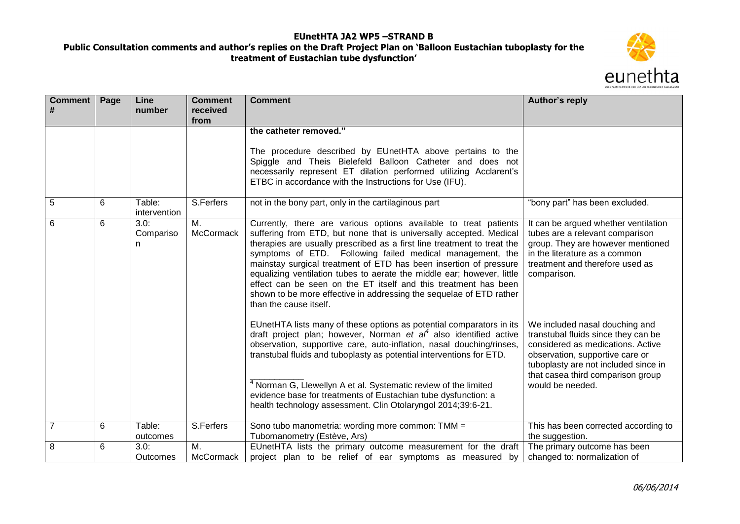

| Comment        | Page | Line<br>number          | <b>Comment</b><br>received<br>from | <b>Comment</b>                                                                                                                                                                                                                                                                                                                                                                                                                                                                                                                                                                                    | Author's reply                                                                                                                                                                                                                                 |
|----------------|------|-------------------------|------------------------------------|---------------------------------------------------------------------------------------------------------------------------------------------------------------------------------------------------------------------------------------------------------------------------------------------------------------------------------------------------------------------------------------------------------------------------------------------------------------------------------------------------------------------------------------------------------------------------------------------------|------------------------------------------------------------------------------------------------------------------------------------------------------------------------------------------------------------------------------------------------|
|                |      |                         |                                    | the catheter removed."<br>The procedure described by EUnetHTA above pertains to the<br>Spiggle and Theis Bielefeld Balloon Catheter and does not<br>necessarily represent ET dilation performed utilizing Acclarent's<br>ETBC in accordance with the Instructions for Use (IFU).                                                                                                                                                                                                                                                                                                                  |                                                                                                                                                                                                                                                |
| 5              | 6    | Table:<br>intervention  | S.Ferfers                          | not in the bony part, only in the cartilaginous part                                                                                                                                                                                                                                                                                                                                                                                                                                                                                                                                              | "bony part" has been excluded.                                                                                                                                                                                                                 |
| 6              | 6    | 3.0:<br>Compariso<br>n  | Μ.<br>McCormack                    | Currently, there are various options available to treat patients<br>suffering from ETD, but none that is universally accepted. Medical<br>therapies are usually prescribed as a first line treatment to treat the<br>symptoms of ETD. Following failed medical management, the<br>mainstay surgical treatment of ETD has been insertion of pressure<br>equalizing ventilation tubes to aerate the middle ear; however, little<br>effect can be seen on the ET itself and this treatment has been<br>shown to be more effective in addressing the sequelae of ETD rather<br>than the cause itself. | It can be argued whether ventilation<br>tubes are a relevant comparison<br>group. They are however mentioned<br>in the literature as a common<br>treatment and therefore used as<br>comparison.                                                |
|                |      |                         |                                    | EUnetHTA lists many of these options as potential comparators in its<br>draft project plan; however, Norman et $af$ also identified active<br>observation, supportive care, auto-inflation, nasal douching/rinses,<br>transtubal fluids and tuboplasty as potential interventions for ETD.<br>Norman G, Llewellyn A et al. Systematic review of the limited<br>evidence base for treatments of Eustachian tube dysfunction: a<br>health technology assessment. Clin Otolaryngol 2014;39:6-21.                                                                                                     | We included nasal douching and<br>transtubal fluids since they can be<br>considered as medications. Active<br>observation, supportive care or<br>tuboplasty are not included since in<br>that casea third comparison group<br>would be needed. |
| $\overline{7}$ | 6    | Table:<br>outcomes      | S.Ferfers                          | Sono tubo manometria: wording more common: TMM =<br>Tubomanometry (Estève, Ars)                                                                                                                                                                                                                                                                                                                                                                                                                                                                                                                   | This has been corrected according to<br>the suggestion.                                                                                                                                                                                        |
| 8              | 6    | 3.0:<br><b>Outcomes</b> | М.<br>McCormack                    | EUnetHTA lists the primary outcome measurement for the draft<br>project plan to be relief of ear symptoms as measured by                                                                                                                                                                                                                                                                                                                                                                                                                                                                          | The primary outcome has been<br>changed to: normalization of                                                                                                                                                                                   |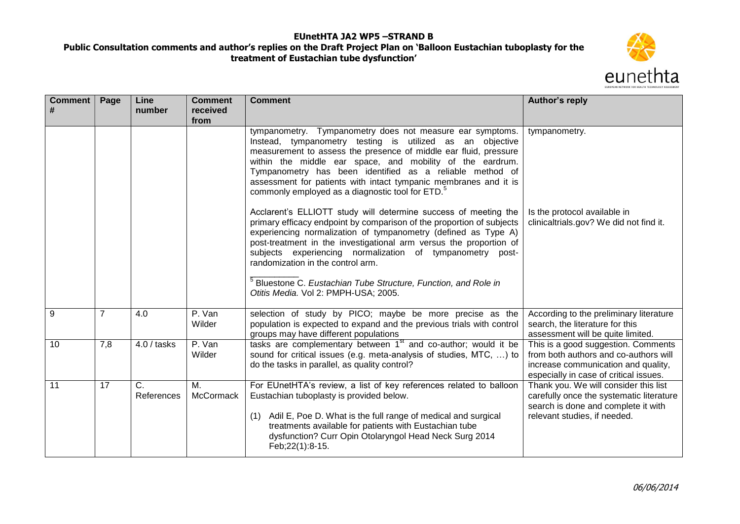

| <b>Comment</b><br># | Page           | Line<br>number   | <b>Comment</b><br>received | <b>Comment</b>                                                                                                                                                                                                                                                                                                                                                                                                                                                                                           | Author's reply                                                                                                                                                |
|---------------------|----------------|------------------|----------------------------|----------------------------------------------------------------------------------------------------------------------------------------------------------------------------------------------------------------------------------------------------------------------------------------------------------------------------------------------------------------------------------------------------------------------------------------------------------------------------------------------------------|---------------------------------------------------------------------------------------------------------------------------------------------------------------|
|                     |                |                  | from                       |                                                                                                                                                                                                                                                                                                                                                                                                                                                                                                          |                                                                                                                                                               |
|                     |                |                  |                            | tympanometry. Tympanometry does not measure ear symptoms.<br>Instead, tympanometry testing is utilized as an objective<br>measurement to assess the presence of middle ear fluid, pressure<br>within the middle ear space, and mobility of the eardrum.<br>Tympanometry has been identified as a reliable method of<br>assessment for patients with intact tympanic membranes and it is<br>commonly employed as a diagnostic tool for ETD. <sup>5</sup>                                                  | tympanometry.                                                                                                                                                 |
|                     |                |                  |                            | Acclarent's ELLIOTT study will determine success of meeting the<br>primary efficacy endpoint by comparison of the proportion of subjects<br>experiencing normalization of tympanometry (defined as Type A)<br>post-treatment in the investigational arm versus the proportion of<br>subjects experiencing normalization of tympanometry post-<br>randomization in the control arm.<br><sup>5</sup> Bluestone C. Eustachian Tube Structure, Function, and Role in<br>Otitis Media. Vol 2: PMPH-USA; 2005. | Is the protocol available in<br>clinicaltrials.gov? We did not find it.                                                                                       |
| 9                   | $\overline{7}$ | 4.0              | P. Van<br>Wilder           | selection of study by PICO; maybe be more precise as the<br>population is expected to expand and the previous trials with control<br>groups may have different populations                                                                                                                                                                                                                                                                                                                               | According to the preliminary literature<br>search, the literature for this<br>assessment will be quite limited.                                               |
| 10                  | 7,8            | $4.0/$ tasks     | P. Van<br>Wilder           | tasks are complementary between 1 <sup>st</sup> and co-author; would it be<br>sound for critical issues (e.g. meta-analysis of studies, MTC, ) to<br>do the tasks in parallel, as quality control?                                                                                                                                                                                                                                                                                                       | This is a good suggestion. Comments<br>from both authors and co-authors will<br>increase communication and quality,<br>especially in case of critical issues. |
| 11                  | 17             | C.<br>References | М.<br>McCormack            | For EUnetHTA's review, a list of key references related to balloon<br>Eustachian tuboplasty is provided below.<br>Adil E, Poe D. What is the full range of medical and surgical<br>(1)<br>treatments available for patients with Eustachian tube<br>dysfunction? Curr Opin Otolaryngol Head Neck Surg 2014<br>Feb; 22(1): 8-15.                                                                                                                                                                          | Thank you. We will consider this list<br>carefully once the systematic literature<br>search is done and complete it with<br>relevant studies, if needed.      |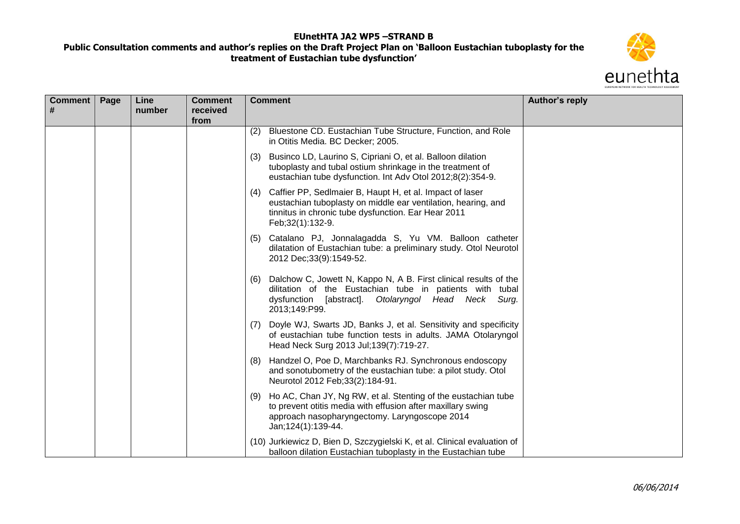

| Comment  <br># | Page | Line<br>number | <b>Comment</b><br>received<br>from | <b>Comment</b>                                                                                                                                                                                                | Author's reply |
|----------------|------|----------------|------------------------------------|---------------------------------------------------------------------------------------------------------------------------------------------------------------------------------------------------------------|----------------|
|                |      |                |                                    | Bluestone CD. Eustachian Tube Structure, Function, and Role<br>(2)<br>in Otitis Media. BC Decker; 2005.                                                                                                       |                |
|                |      |                |                                    | Businco LD, Laurino S, Cipriani O, et al. Balloon dilation<br>(3)<br>tuboplasty and tubal ostium shrinkage in the treatment of<br>eustachian tube dysfunction. Int Adv Otol 2012;8(2):354-9.                  |                |
|                |      |                |                                    | Caffier PP, Sedlmaier B, Haupt H, et al. Impact of laser<br>(4)<br>eustachian tuboplasty on middle ear ventilation, hearing, and<br>tinnitus in chronic tube dysfunction. Ear Hear 2011<br>Feb; 32(1): 132-9. |                |
|                |      |                |                                    | (5) Catalano PJ, Jonnalagadda S, Yu VM. Balloon catheter<br>dilatation of Eustachian tube: a preliminary study. Otol Neurotol<br>2012 Dec; 33(9): 1549-52.                                                    |                |
|                |      |                |                                    | Dalchow C, Jowett N, Kappo N, A B. First clinical results of the<br>(6)<br>dilitation of the Eustachian tube in patients with tubal<br>dysfunction [abstract]. Otolaryngol Head Neck Surg.<br>2013;149:P99.   |                |
|                |      |                |                                    | Doyle WJ, Swarts JD, Banks J, et al. Sensitivity and specificity<br>(7)<br>of eustachian tube function tests in adults. JAMA Otolaryngol<br>Head Neck Surg 2013 Jul; 139(7): 719-27.                          |                |
|                |      |                |                                    | Handzel O, Poe D, Marchbanks RJ. Synchronous endoscopy<br>(8)<br>and sonotubometry of the eustachian tube: a pilot study. Otol<br>Neurotol 2012 Feb; 33(2): 184-91.                                           |                |
|                |      |                |                                    | Ho AC, Chan JY, Ng RW, et al. Stenting of the eustachian tube<br>(9)<br>to prevent otitis media with effusion after maxillary swing<br>approach nasopharyngectomy. Laryngoscope 2014<br>Jan; 124(1): 139-44.  |                |
|                |      |                |                                    | (10) Jurkiewicz D, Bien D, Szczygielski K, et al. Clinical evaluation of<br>balloon dilation Eustachian tuboplasty in the Eustachian tube                                                                     |                |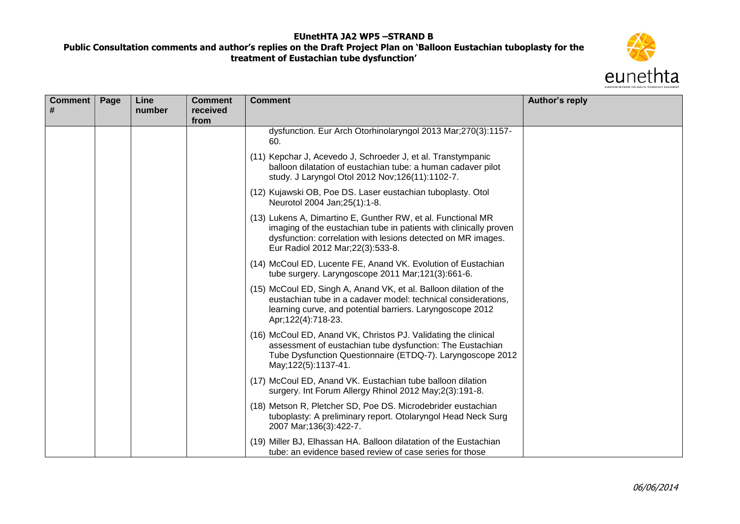

| Comment  <br># | Page | Line<br>number | <b>Comment</b><br>received<br>from | <b>Comment</b>                                                                                                                                                                                                                          | Author's reply |
|----------------|------|----------------|------------------------------------|-----------------------------------------------------------------------------------------------------------------------------------------------------------------------------------------------------------------------------------------|----------------|
|                |      |                |                                    | dysfunction. Eur Arch Otorhinolaryngol 2013 Mar;270(3):1157-<br>60.                                                                                                                                                                     |                |
|                |      |                |                                    | (11) Kepchar J, Acevedo J, Schroeder J, et al. Transtympanic<br>balloon dilatation of eustachian tube: a human cadaver pilot<br>study. J Laryngol Otol 2012 Nov; 126(11): 1102-7.                                                       |                |
|                |      |                |                                    | (12) Kujawski OB, Poe DS. Laser eustachian tuboplasty. Otol<br>Neurotol 2004 Jan; 25(1): 1-8.                                                                                                                                           |                |
|                |      |                |                                    | (13) Lukens A, Dimartino E, Gunther RW, et al. Functional MR<br>imaging of the eustachian tube in patients with clinically proven<br>dysfunction: correlation with lesions detected on MR images.<br>Eur Radiol 2012 Mar; 22(3): 533-8. |                |
|                |      |                |                                    | (14) McCoul ED, Lucente FE, Anand VK. Evolution of Eustachian<br>tube surgery. Laryngoscope 2011 Mar;121(3):661-6.                                                                                                                      |                |
|                |      |                |                                    | (15) McCoul ED, Singh A, Anand VK, et al. Balloon dilation of the<br>eustachian tube in a cadaver model: technical considerations,<br>learning curve, and potential barriers. Laryngoscope 2012<br>Apr;122(4):718-23.                   |                |
|                |      |                |                                    | (16) McCoul ED, Anand VK, Christos PJ. Validating the clinical<br>assessment of eustachian tube dysfunction: The Eustachian<br>Tube Dysfunction Questionnaire (ETDQ-7). Laryngoscope 2012<br>May; 122(5): 1137-41.                      |                |
|                |      |                |                                    | (17) McCoul ED, Anand VK. Eustachian tube balloon dilation<br>surgery. Int Forum Allergy Rhinol 2012 May; 2(3): 191-8.                                                                                                                  |                |
|                |      |                |                                    | (18) Metson R, Pletcher SD, Poe DS. Microdebrider eustachian<br>tuboplasty: A preliminary report. Otolaryngol Head Neck Surg<br>2007 Mar; 136(3): 422-7.                                                                                |                |
|                |      |                |                                    | (19) Miller BJ, Elhassan HA. Balloon dilatation of the Eustachian<br>tube: an evidence based review of case series for those                                                                                                            |                |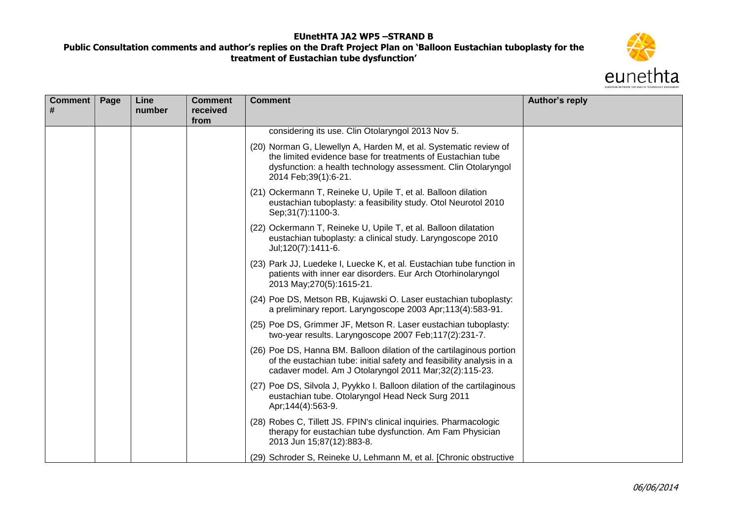

| Comment  <br># | Page | Line<br>number | <b>Comment</b><br>received<br>from | <b>Comment</b>                                                                                                                                                                                                              | Author's reply |
|----------------|------|----------------|------------------------------------|-----------------------------------------------------------------------------------------------------------------------------------------------------------------------------------------------------------------------------|----------------|
|                |      |                |                                    | considering its use. Clin Otolaryngol 2013 Nov 5.                                                                                                                                                                           |                |
|                |      |                |                                    | (20) Norman G, Llewellyn A, Harden M, et al. Systematic review of<br>the limited evidence base for treatments of Eustachian tube<br>dysfunction: a health technology assessment. Clin Otolaryngol<br>2014 Feb; 39(1): 6-21. |                |
|                |      |                |                                    | (21) Ockermann T, Reineke U, Upile T, et al. Balloon dilation<br>eustachian tuboplasty: a feasibility study. Otol Neurotol 2010<br>Sep; 31(7): 1100-3.                                                                      |                |
|                |      |                |                                    | (22) Ockermann T, Reineke U, Upile T, et al. Balloon dilatation<br>eustachian tuboplasty: a clinical study. Laryngoscope 2010<br>Jul;120(7):1411-6.                                                                         |                |
|                |      |                |                                    | (23) Park JJ, Luedeke I, Luecke K, et al. Eustachian tube function in<br>patients with inner ear disorders. Eur Arch Otorhinolaryngol<br>2013 May; 270(5): 1615-21.                                                         |                |
|                |      |                |                                    | (24) Poe DS, Metson RB, Kujawski O. Laser eustachian tuboplasty:<br>a preliminary report. Laryngoscope 2003 Apr;113(4):583-91.                                                                                              |                |
|                |      |                |                                    | (25) Poe DS, Grimmer JF, Metson R. Laser eustachian tuboplasty:<br>two-year results. Laryngoscope 2007 Feb;117(2):231-7.                                                                                                    |                |
|                |      |                |                                    | (26) Poe DS, Hanna BM. Balloon dilation of the cartilaginous portion<br>of the eustachian tube: initial safety and feasibility analysis in a<br>cadaver model. Am J Otolaryngol 2011 Mar;32(2):115-23.                      |                |
|                |      |                |                                    | (27) Poe DS, Silvola J, Pyykko I. Balloon dilation of the cartilaginous<br>eustachian tube. Otolaryngol Head Neck Surg 2011<br>Apr; 144(4): 563-9.                                                                          |                |
|                |      |                |                                    | (28) Robes C, Tillett JS. FPIN's clinical inquiries. Pharmacologic<br>therapy for eustachian tube dysfunction. Am Fam Physician<br>2013 Jun 15;87(12):883-8.                                                                |                |
|                |      |                |                                    | (29) Schroder S, Reineke U, Lehmann M, et al. [Chronic obstructive                                                                                                                                                          |                |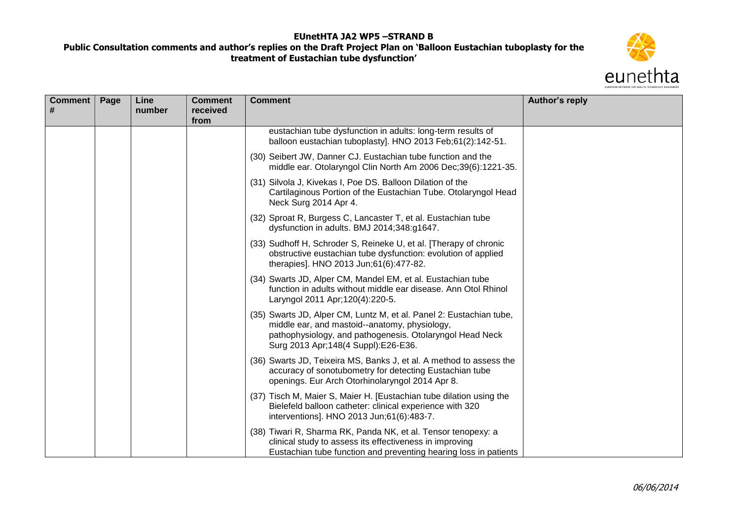

| Comment  <br># | Page | Line<br>number | <b>Comment</b><br>received | <b>Comment</b>                                                                                                                                                                                                            | Author's reply |
|----------------|------|----------------|----------------------------|---------------------------------------------------------------------------------------------------------------------------------------------------------------------------------------------------------------------------|----------------|
|                |      |                | from                       | eustachian tube dysfunction in adults: long-term results of                                                                                                                                                               |                |
|                |      |                |                            | balloon eustachian tuboplasty]. HNO 2013 Feb;61(2):142-51.                                                                                                                                                                |                |
|                |      |                |                            | (30) Seibert JW, Danner CJ. Eustachian tube function and the<br>middle ear. Otolaryngol Clin North Am 2006 Dec;39(6):1221-35.                                                                                             |                |
|                |      |                |                            | (31) Silvola J, Kivekas I, Poe DS. Balloon Dilation of the<br>Cartilaginous Portion of the Eustachian Tube. Otolaryngol Head<br>Neck Surg 2014 Apr 4.                                                                     |                |
|                |      |                |                            | (32) Sproat R, Burgess C, Lancaster T, et al. Eustachian tube<br>dysfunction in adults. BMJ 2014;348:g1647.                                                                                                               |                |
|                |      |                |                            | (33) Sudhoff H, Schroder S, Reineke U, et al. [Therapy of chronic<br>obstructive eustachian tube dysfunction: evolution of applied<br>therapies]. HNO 2013 Jun;61(6):477-82.                                              |                |
|                |      |                |                            | (34) Swarts JD, Alper CM, Mandel EM, et al. Eustachian tube<br>function in adults without middle ear disease. Ann Otol Rhinol<br>Laryngol 2011 Apr; 120(4): 220-5.                                                        |                |
|                |      |                |                            | (35) Swarts JD, Alper CM, Luntz M, et al. Panel 2: Eustachian tube,<br>middle ear, and mastoid--anatomy, physiology,<br>pathophysiology, and pathogenesis. Otolaryngol Head Neck<br>Surg 2013 Apr; 148(4 Suppl): E26-E36. |                |
|                |      |                |                            | (36) Swarts JD, Teixeira MS, Banks J, et al. A method to assess the<br>accuracy of sonotubometry for detecting Eustachian tube<br>openings. Eur Arch Otorhinolaryngol 2014 Apr 8.                                         |                |
|                |      |                |                            | (37) Tisch M, Maier S, Maier H. [Eustachian tube dilation using the<br>Bielefeld balloon catheter: clinical experience with 320<br>interventions]. HNO 2013 Jun;61(6):483-7.                                              |                |
|                |      |                |                            | (38) Tiwari R, Sharma RK, Panda NK, et al. Tensor tenopexy: a<br>clinical study to assess its effectiveness in improving<br>Eustachian tube function and preventing hearing loss in patients                              |                |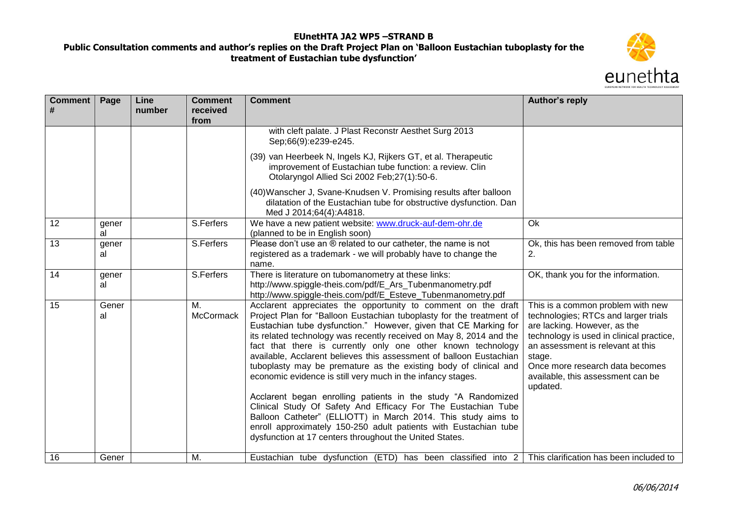

| Comment  <br># | Page        | Line<br>number | <b>Comment</b><br>received<br>from | <b>Comment</b>                                                                                                                                                                                                                                                                                                                                                                                                                                                                                                                                                                                                                                                                                                                                                                                                                                                                               | Author's reply                                                                                                                                                                                                                                                                           |
|----------------|-------------|----------------|------------------------------------|----------------------------------------------------------------------------------------------------------------------------------------------------------------------------------------------------------------------------------------------------------------------------------------------------------------------------------------------------------------------------------------------------------------------------------------------------------------------------------------------------------------------------------------------------------------------------------------------------------------------------------------------------------------------------------------------------------------------------------------------------------------------------------------------------------------------------------------------------------------------------------------------|------------------------------------------------------------------------------------------------------------------------------------------------------------------------------------------------------------------------------------------------------------------------------------------|
|                |             |                |                                    | with cleft palate. J Plast Reconstr Aesthet Surg 2013<br>Sep;66(9):e239-e245.                                                                                                                                                                                                                                                                                                                                                                                                                                                                                                                                                                                                                                                                                                                                                                                                                |                                                                                                                                                                                                                                                                                          |
|                |             |                |                                    | (39) van Heerbeek N, Ingels KJ, Rijkers GT, et al. Therapeutic<br>improvement of Eustachian tube function: a review. Clin<br>Otolaryngol Allied Sci 2002 Feb; 27(1): 50-6.                                                                                                                                                                                                                                                                                                                                                                                                                                                                                                                                                                                                                                                                                                                   |                                                                                                                                                                                                                                                                                          |
|                |             |                |                                    | (40) Wanscher J, Svane-Knudsen V. Promising results after balloon<br>dilatation of the Eustachian tube for obstructive dysfunction. Dan<br>Med J 2014;64(4):A4818.                                                                                                                                                                                                                                                                                                                                                                                                                                                                                                                                                                                                                                                                                                                           |                                                                                                                                                                                                                                                                                          |
| 12             | gener<br>al |                | S.Ferfers                          | We have a new patient website: www.druck-auf-dem-ohr.de<br>(planned to be in English soon)                                                                                                                                                                                                                                                                                                                                                                                                                                                                                                                                                                                                                                                                                                                                                                                                   | Ok                                                                                                                                                                                                                                                                                       |
| 13             | gener<br>al |                | S.Ferfers                          | Please don't use an ® related to our catheter, the name is not<br>registered as a trademark - we will probably have to change the<br>name.                                                                                                                                                                                                                                                                                                                                                                                                                                                                                                                                                                                                                                                                                                                                                   | Ok, this has been removed from table<br>2.                                                                                                                                                                                                                                               |
| 14             | gener<br>al |                | S.Ferfers                          | There is literature on tubomanometry at these links:<br>http://www.spiggle-theis.com/pdf/E_Ars_Tubenmanometry.pdf<br>http://www.spiggle-theis.com/pdf/E_Esteve_Tubenmanometry.pdf                                                                                                                                                                                                                                                                                                                                                                                                                                                                                                                                                                                                                                                                                                            | OK, thank you for the information.                                                                                                                                                                                                                                                       |
| 15             | Gener<br>al |                | M.<br><b>McCormack</b>             | Acclarent appreciates the opportunity to comment on the draft<br>Project Plan for "Balloon Eustachian tuboplasty for the treatment of<br>Eustachian tube dysfunction." However, given that CE Marking for<br>its related technology was recently received on May 8, 2014 and the<br>fact that there is currently only one other known technology<br>available, Acclarent believes this assessment of balloon Eustachian<br>tuboplasty may be premature as the existing body of clinical and<br>economic evidence is still very much in the infancy stages.<br>Acclarent began enrolling patients in the study "A Randomized<br>Clinical Study Of Safety And Efficacy For The Eustachian Tube<br>Balloon Catheter" (ELLIOTT) in March 2014. This study aims to<br>enroll approximately 150-250 adult patients with Eustachian tube<br>dysfunction at 17 centers throughout the United States. | This is a common problem with new<br>technologies; RTCs and larger trials<br>are lacking. However, as the<br>technology is used in clinical practice,<br>an assessment is relevant at this<br>stage.<br>Once more research data becomes<br>available, this assessment can be<br>updated. |
| 16             | Gener       |                | M.                                 | Eustachian tube dysfunction (ETD) has been classified into $2 \mid$ This clarification has been included to                                                                                                                                                                                                                                                                                                                                                                                                                                                                                                                                                                                                                                                                                                                                                                                  |                                                                                                                                                                                                                                                                                          |